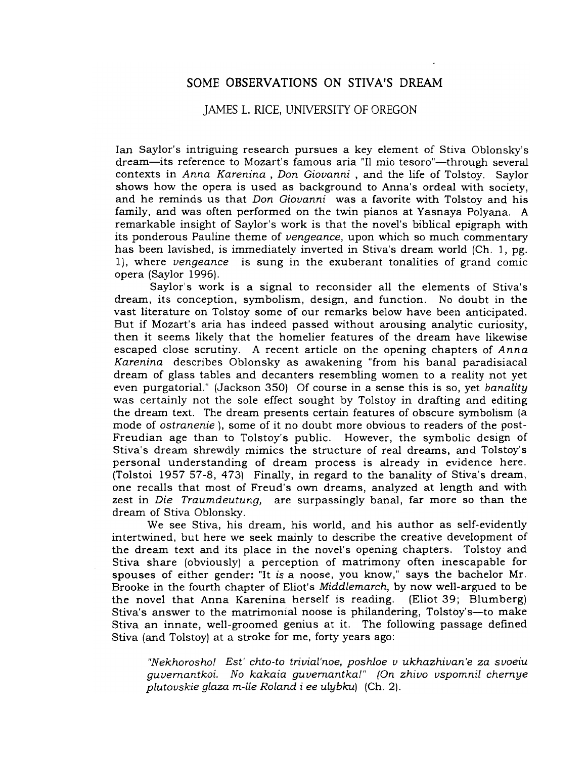# SOME OBSERVATIONS ON STIVA'S DREAM

## JAMES L. RICE, UNIVERSITY OF OREGON

Ian Saylor's intriguing research pursues a key element of Stiva Oblonsky's dream-its reference to Mozart's famous aria "Il mio tesoro"-through several contexts in Anna Karenina , Don Giovanni, and the life of Tolstoy. Saylor shows how the opera is used as background to Anna's ordeal with society, and he reminds us that Don Giovanni was a favorite with Tolstoy and his family, and was often performed on the twin pianos at Yasnaya Polyana. A remarkable insight of Saylor's work is that the novel's biblical epigraph with its ponderous Pauline theme of vengeance, upon which so much commentary has been lavished, is immediately inverted in Stiva's dream world (Ch. 1, pg. 1), where vengeance is sung in the exuberant tonalities of grand comic opera (Saylor 1996).

Saylor's work is a signal to reconsider all the elements of Stiva's dream, its conception, symbolism, design, and function. No doubt in the vast literature on Tolstoy some of our remarks below have been anticipated. But if Mozart's aria has indeed passed without arousing analytic curiosity, then it seems likely that the homelier features of the dream have likewise escaped close scrutiny. A recent article on the opening chapters of Anna Karenina describes Oblonsky as awakening "from his banal paradisiacal dream of glass tables and decanters resembling women to a reality not yet even purgatorial." (Jackson 350) Of course in a sense this is so, yet banality was certainly not the sole effect sought by Tolstoy in drafting and editing the dream text. The dream presents certain features of obscure symbolism (a mode of ostranenie ), some of it no doubt more obvious to readers of the post-Freudian age than to Tolstoy's public. However, the symbolic design of Stiva's dream shrewdly mimics the structure of real dreams, and Tolstoy's personal understanding of dream process is already in evidence here. (Tolstoi 1957 57-8, 473) Finally, in regard to the banality of Stiva's dream, one recalls that most of Freud's own dreams, analyzed at length and with zest in Die Traumdeutung, are surpassingly banal, far more so than the dream of Stiva Obionsky.

We see Stiva, his dream, his world, and his author as self-evidently intertwined, but here we seek mainly to describe the creative development of the dream text and its place in the novel's opening chapters. Tolstoy and Stiva share (obviously) a perception of matrimony often inescapable for spouses of either gender: "It is a noose, you know," says the bachelor Mr. Brooke in the fourth chapter of Eliot's Middlemarch, by now well-argued to be the novel that Anna Karenina herself is reading. (Eliot 39; Blumberg) Stiva's answer to the matrimonial noose is philandering, Tolstoy's-to make Stiva an innate, well-groomed genius at it. The following passage defined Stiva (and Tolstoy) at a stroke for me, forty years ago:

"Nekhorosho! Est' chto-to trivial'noe, poshloe v ukhazhivan'e za svoeiu guvernantkoi. No kakaia guvernantka!" (On zhivo vspomnil chernye plutovskie glaza m-lle Roland i ee ulybku) (Ch. 2).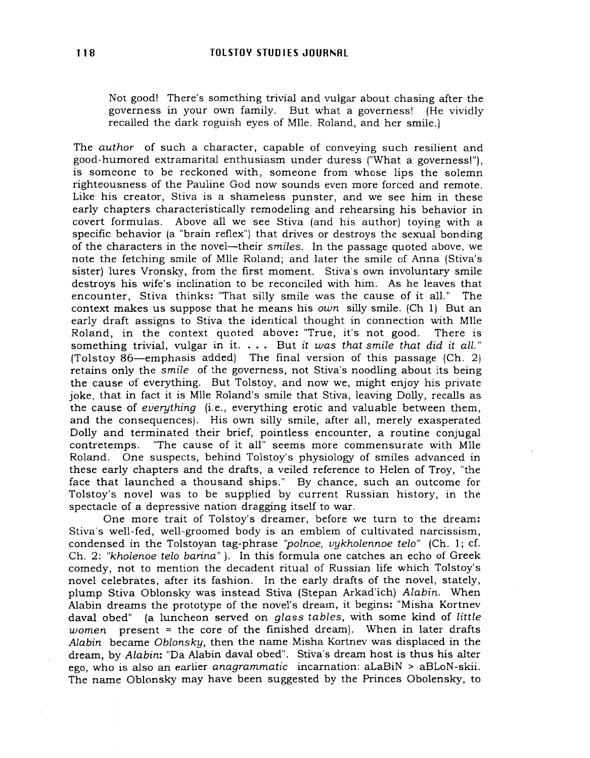Not good! There's something trivial and vulgar about chasing after the governess in your own family. But what a governess! (He vividly recalled the dark roguish eyes of Mlle. Roland, and her smile.)

The author of such a character, capable of conveying such resilient and good-humored extramarital enthusiasm under duress ("What a governess!"), is someone to be reckoned with, someone from whose lips the solemn righteousness of the Pauline God now sounds even more forced and remote. Like his creator, Stiva is a shameless punster, and we see him in these early chapters characteristically remodeling and rehearsing his behavior in covert formulas. Above all we see Stiva (and his author) toying with a specific behavior (a "brain reflex") that drives or destroys the sexual bonding of the characters in the novel-their smiles. In the passage quoted above, we note the fetching smile of MIle Roland; and later the smile of Anna (Stiva's sister) lures Vronsky, from the first moment. Stiva's own involuntary smile destroys his wife's inclination to be reconciled with him. As he leaves that encounter, Stiva thinks: "That silly smile was the cause of it all." The context makes us suppose that he means his own silly smile. (Ch 1) But an early draft assigns to Stiva the identical thought in connection with MIle Roland, in the context quoted above: "True, it's not good. There is something trivial, vulgar in it.  $\ldots$  But it was that smile that did it all." (Tolstoy 86-emphasis added) The final version of this passage (Ch. 2) retains only the smile of the governess, not Stiva's noodling about its being the cause of everything. But Tolstoy, and now we, might enjoy his private ioke, that in fact it is Mlle Roland's smile that Stiva, leaving Dolly, recalls as the cause of everything (i.e., everything erotic and valuable between them, and the consequences). His own silly smile, after all, merely exasperated Dolly and terminated their brief, pointless encounter, a routine conjugal contretemps. "The cause of it all" seems more commensurate with Mlle Roland. One suspects, behind Tolstoy's physiology of smiles advanced in these early chapters and the drafts, a veiled reference to Helen of Troy, "the face that launched a thousand ships." By chance, such an outcome for Tolstoy's novel was to be supplied by current Russian history, in the spectacle of a depressive nation dragging itself to war.

One more trait of Tolstoy's dreamer, before we turn to the dream: Stiva's well-fed, well-groomed body is an emblem of cultivated narcissism, condensed in the Tolstoyan tag-phrase "polnoe, vykholennoe telo" (Ch. 1; cf. Ch. 2: "kholenoe telo barina"). In this formula one catches an echo of Greek comedy, not to mention the decadent ritual of Russian life which Tolstoy's novel celebrates, after its fashion. In the early drafts of the novel, stately, plump Stiva Oblonsky was instead Stiva (Stepan Arkad'ich) Alabin. When Alabin dreams the prototype of the novel's dream, it begins: "Misha Kortnev daval obed" (a luncheon served on glass tables, with some kind of little women present  $=$  the core of the finished dream). When in later drafts Alabin became Oblonsky, then the name Misha Kortnev was displaced in the dream, by Alabin: "Da Alabin daval obed". Stiva's dream host is thus his alter ego, who is also an earlier anagrammatic incarnation: aLaBiN > aBLoN-skii. The name Oblonsky may have been suggested by the Princes Obolensky, to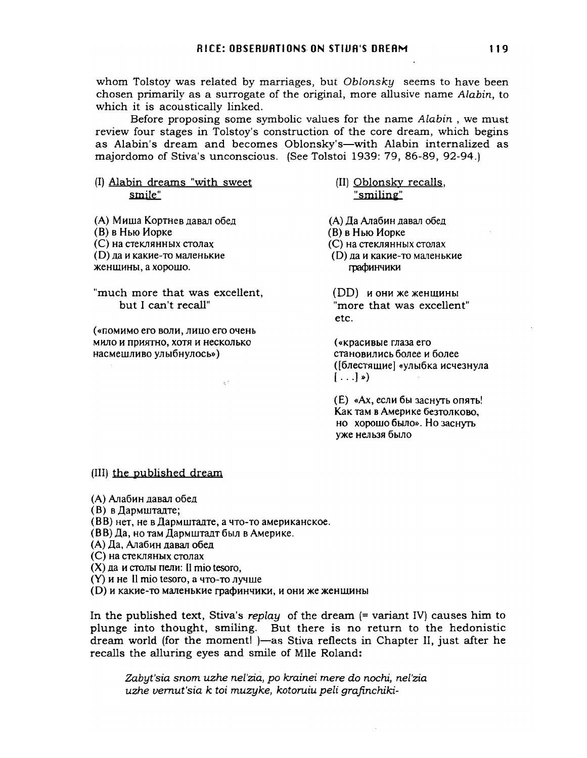whom Tolstoy was related by marriages, but Oblonsky seems to have been chosen primarily as a surrogate of the original, more allusive name Alabin, to which it is acoustically linked.

Before proposing some symbolic values for the name Alabin , we must review four stages in Tolstoy's construction of the core dream, which begins as Alabin's dream and becomes Oblonsky's-with Alabin internalized as majordomo of Stiva's unconscious. (See Tolstoi 1939: 79, 86-89, 92-94.)

### (I) Alabin dreams "with sweet smile"

(А) Миша Кортнев давал обед (B) в Нью Иорке (C) на стеклянных столах (D) да и какие-то маленькие женщины, а хорошо.

"much more that was excellent, but I can't recall"

(«помимо его воли, лицо его очень мило и приятно, хотя и несколько HaCMelUJIHBO yJlbI6HYJJOCb»)

(II) Oblonsky recalls, "smilin~"

(A) Да Алабин давал обед (B) в Нью Иорке (C) на стеклянных столах (D) да и какие-то маленькие графинчики

 $(DD)$  и они же женщины "more that was excellent" etc.

(<<KpaCHBble fnaJa ero становились более и более ([блестящие] «улыбка исчезнула  $\left[ \ldots \right]$  »)

(E) «Ах, если бы заснуть опять! Как там в Америке безтолково, HO XOPOlUO 6bUlO». Ho JaCHyrb уже нельзя было

#### (III) the published dream

(A) Алабин давал обед

- $(B)$  в Дармштадте;
- (BB) нет, не в Дармштадте, а что-то американское.
- (ВВ) Да, но там Дармштадт был в Америке.
- (A) Да, Алабин давал обед
- (C) Ha CTeKJISlHbIX CTOJJaX
- $(X)$  да и столы пели: Il mio tesoro,
- $(Y)$  и не  $II$  mio tesoro, а что-то лучше
- (D) и какие-то маленькие графинчики, и они же женщины

In the published text, Stiva's replay of the dream (= variant IV) causes him to plunge into thought, smiling. But there is no return to the hedonistic dream world (for the moment!)—as Stiva reflects in Chapter II, just after he recalls the alluring eyes and smile of MIle Roland:

Zabyt'sia snom uzhe nel'zia, po krainei mere do nochi, ne['zia uzhe vemut'sia k toi muzyke, kotoruiu peli grafinchiki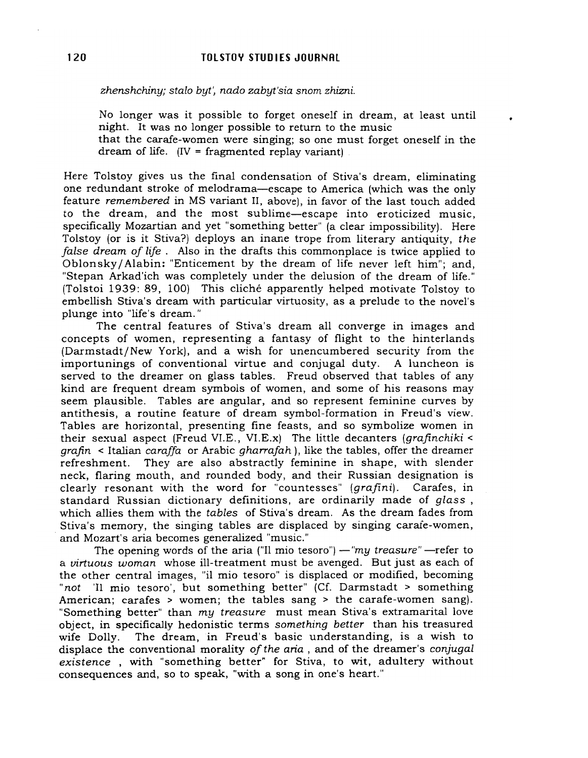*zhenshchiny; staio* byt~ *nado zabyt'sia snom zhizni.*

No longer was it possible to forget oneself in dream, at least until night. It was no longer possible to return to the music

•

that the carafe-women were singing; so one must forget oneself in the dream of life. (IV = fragmented replay variant) .

Here Tolstoy gives us the final condensation of Stiva's dream, eliminating one redundant stroke of melodrama-escape to America (which was the only feature *remembered* in MS variant II, above), in favor of the last touch added to the dream, and the most sublime-escape into eroticized music, specifically Mozartian and yet "something better" (a clear impossibility). Here Tolstoy (or is it Stiva?) deploys an inane trope from literary antiquity, *the false dream of life.* Also in the drafts this commonplace is twice applied to Oblonsky/ Alabin: "Enticement by the dream of life never left him"; and, "Stepan Arkad'ich was completely under the delusion of the dream of life." (Tolstoi 1939: 89, 100) This cliche apparently helped motivate Tolstoy to embellish Stiva's dream with particular virtuosity, as a prelude to the novel's plunge into "life's dream."

The central features of Stiva's dream all converge in images and concepts of women, representing a fantasy of flight to the hinterlands (Darmstadt/New York), and a wish for unencumbered security from the importunings of conventional virtue and conjugal duty. A luncheon is served to the dreamer on glass tables. Freud observed that tables of any kind are frequent dream symbols of women, and some of his reasons may seem plausible. Tables are angular, and so represent feminine curves by antithesis, a routine feature of dream symbol-formation in Freud's view. Tables are horizontal, presenting fine feasts, and so symbolize women in their sexual aspect (Freud VI.E., VI.E.x) The little decanters *(grafinchiki <sup>&</sup>lt; grafin* < Italian *caraffa* or Arabic *gharrafah),* like the tables, offer the dreamer refreshment. They are also abstractly feminine in shape, with slender neck, flaring mouth, and rounded body, and their Russian designation is clearly resonant with the word for "countesses" *(grafini).* Carafes, in standard Russian dictionary definitions, are ordinarily made of *glass,* which allies them with the *tables* of Stiva's dream. As the dream fades from Stiva's memory, the singing tables are displaced by singing carafe-women, . and Mozart's aria becomes generalized "music."

The opening words of the aria ("Il mio tesoro") — "my treasure" — refer to a *virtuous woman* whose ill-treatment must be avenged. But just as each of the other central images, "il mio tesoro" is displaced or modified, becoming *"not* 'II mio tesoro', but something better" (Cf. Darmstadt <sup>&</sup>gt; something American; carafes <sup>&</sup>gt; women; the tables sang <sup>&</sup>gt; the carafe-women sang). "Something better" than *my treasure* must mean Stiva's extramarital love object, in specifically hedonistic terms *something better* than his treasured wife Dolly. The dream, 'in Freud's basic understanding, is a wish to displace the conventional morality *ofthe aria,* and of the dreamer's *conjugal existence* , with "something better" for Stiva, to wit, adultery without consequences and, so to speak, "with a song in one's heart."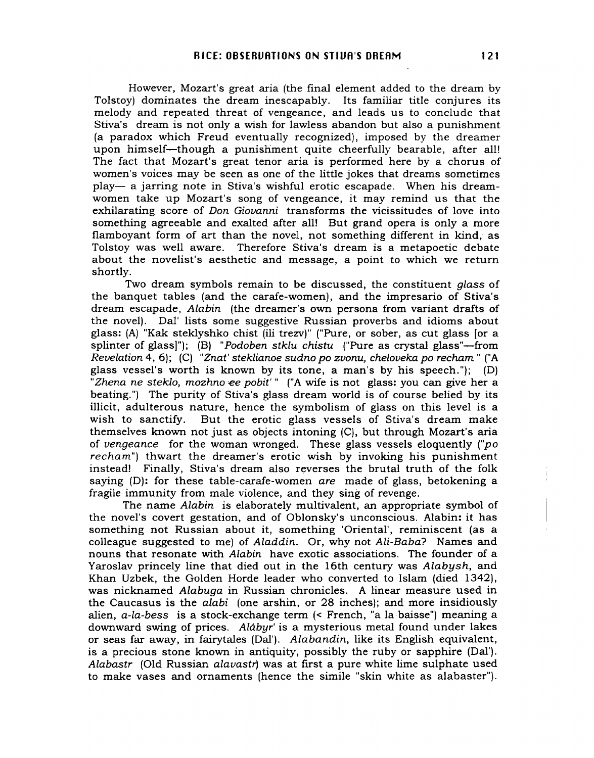However, Mozart's great aria (the final element added to the dream by Tolstoy) dominates the dream inescapably. Its familiar title conjures its melody and repeated threat of vengeance, and leads us to conclude that Stiva's dream is not only a wish for lawless abandon but also a punishment (a paradox which Freud eventually recognized), imposed by the dreamer upon himself-though a punishment quite cheerfully bearable, after all! The fact that Mozart's great tenor aria is performed here by a chorus of women's voices may be seen as one of the little jokes that dreams sometimes play- a jarring note in Stiva's wishful erotic escapade. When his dreamwomen take up Mozart's song of vengeance, it may remind us that the exhilarating score of Don Giovanni transforms the vicissitudes of love into something agreeable and exalted after all! But grand opera is only a more flamboyant form of art than the novel, not something different in kind, as Tolstoy was well aware. Therefore Stiva's dream is a metapoetic debate about the novelist's aesthetic and message, a point to which we return shortly.

Two dream symbols remain to be discussed, the constituent glass of the banquet tables (and the carafe-women), and the impresario of Stiva's dream escapade, Alabin (the dreamer's own persona from variant drafts of the novel). Dal' lists some suggestive Russian proverbs and idioms about glass: (A) "Kak steklyshko chist (iIi trezv)" ("Pure, or sober, as cut glass [or a splinter of glass]"); (B) "Podoben stklu chistu ("Pure as crystal glass"—from Revelation 4,6); (C) "Znat' steklianoe sudno po zvonu, cheloveka po recham " ("A glass vessel's worth is known by its tone, a man's by his speech."); (D) "Zhena ne steklo, mozhno ee pobit'" ("A wife is not glass: you can give her a beating.") The purity of Stiva's glass dream world is of course belied by its illicit, adulterous nature, hence the symbolism of glass on this level is a wish to sanctify. But the erotic glass vessels of Stiva's dream make themselves known not just as objects intoning (C), but through Mozart's aria of vengeance for the woman wronged. These glass vessels eloquently ("po recham") thwart the dreamer's erotic wish by invoking his punishment instead! Finally, Stiva's dream also reverses the brutal truth of the folk saying (D): for these table-carafe-women are made of glass, betokening a fragile immunity from male violence, and they sing of revenge.

The name Alabin is elaborately multivalent, an appropriate symbol of the novel's covert gestation, and of Oblonsky's unconscious. Alabin: it has something not Russian about it, something 'Oriental', reminiscent (as a colleague suggested to me) of Aladdin. Or, why not Ali-Baba? Names and nouns that resonate with Alabin have exotic associations. The founder of a Yaroslav princely line that died out in the 16th century was Alabysh, and Khan Uzbek, the Golden Horde leader who converted to Islam (died 1342), was nicknamed Alabuga in Russian chronicles. A linear measure used in the Caucasus is the alabi (one arshin, or 28 inches); and more insidiously alien,  $a$ -la-bess is a stock-exchange term  $\leq$  French, "a la baisse") meaning a downward swing of prices. Alábyr' is a mysterious metal found under lakes or seas far away, in fairytales (Dal'). Alabandin, like its English equivalent, is a precious stone known in antiquity, possibly the ruby or sapphire (Dal'). Alabastr (Old Russian alavastr) was at first a pure white lime sulphate used to make vases and ornaments (hence the simile "skin white as alabaster").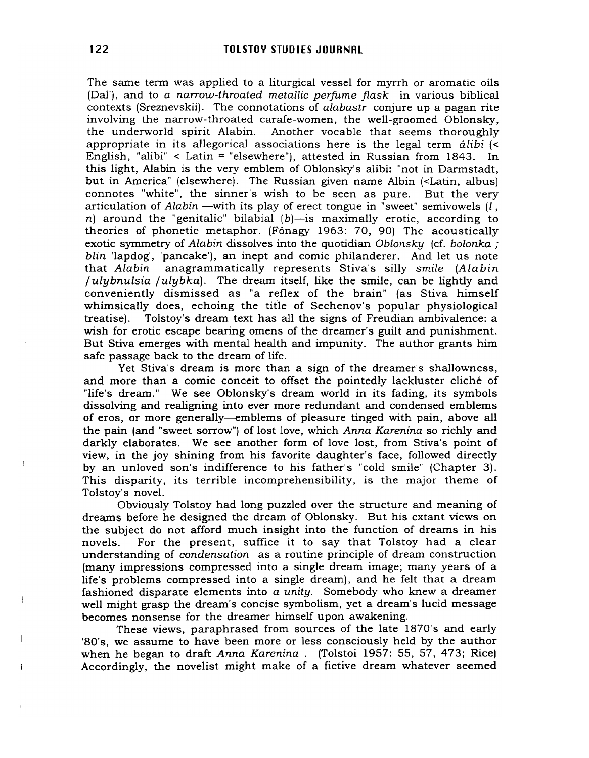The same term was applied to a liturgical vessel for myrrh or aromatic oils (Dal'), and to *a narrow-throated metallic perfume flask* in various biblical contexts (Sreznevskii). The connotations of *alabastr* conjure up a pagan rite involving the narrow-throated carafe-women, the well-groomed Oblonsky, the underworld spirit Alabin. Another vocable that seems thoroughly appropriate in its allegorical associations here is the legal term *alibi* (< English, "alibi"  $\leq$  Latin = "elsewhere"), attested in Russian from 1843. In this light, Alabin is the very emblem of Oblonsky's alibi: "not in Darmstadt, but in America" (elsewhere). The Russian given name Albin (<Latin, albus) connotes "white", the sinner's wish to be seen as pure. But the very articulation of *Alabin* —with its play of erect tongue in "sweet" semivowels *(I,* n) around the "genitalic" bilabial  $(b)$ —is maximally erotic, according to theories of phonetic metaphor. (Fónagy 1963: 70, 90) The acoustically exotic symmetry of *Alabin* dissolves into the quotidian *Oblonsky* (cf. *bolonka ; blin* 'lapdog', 'pancake'), an inept and comic philanderer. And let us note that *Alabin* anagrammatically represents Stiva's silly *smile (Alabin / ulybnulsia /ulybka).* The dream itself, like the smile, can be lightly and conveniently dismissed as "a reflex of the brain" (as Stiva himself whimsically does, echoing the title of Sechenov's popular physiological treatise). Tolstoy's dream text has all the signs of Freudian ambivalence: a wish for erotic escape bearing omens of the dreamer's guilt and punishment. But Stiva emerges with mental health and impunity. The author grants him safe passage back to the dream of life.

Yet Stiva's dream is more than a sign of the dreamer's shallowness, and more than a comic conceit to offset the pointedly lackluster cliché of "life's dream." We see Oblonsky's dream world in its fading, its symbols dissolving and realigning into ever more redundant and condensed emblems of eros, or more generally-emblems of pleasure tinged with pain, above all the pain (and "sweet sorrow") of lost love, which *Anna Karenina* so richly and darkly elaborates. We see another form of love lost, from Stiva's point of view, in the joy shining from his favorite daughter's face, followed directly by an unloved son's indifference to his father's "cold smile" (Chapter 3). This disparity, its terrible incomprehensibility, is the major theme of Tolstoy's novel.

Obviously Tolstoy had long puzzled over the structure and meaning of dreams before he designed the dream of Oblonsky. But his extant views on the subject do not afford much insight into the function of dreams in his novels. For the present, suffice it to say that Tolstoy had a clear understanding of *condensation* as a routine principle of dream construction (many impressions compressed into a single dream image; many years of a life's problems compressed into a single dream), and he felt that a dream fashioned disparate elements into *a unity.* Somebody who knew a dreamer well might grasp the dream's concise symbolism, yet a dream's lucid message becomes nonsense for the dreamer himself upon awakening.

These views, paraphrased from sources of the late 1870's and early '80's, we assume to have been more or less consciously held by the author when he began to draft *Anna Karenina.* (Tolstoi 1957: 55, 57, 473; Rice) Accordingly, the novelist might make of a fictive dream whatever seemed

! .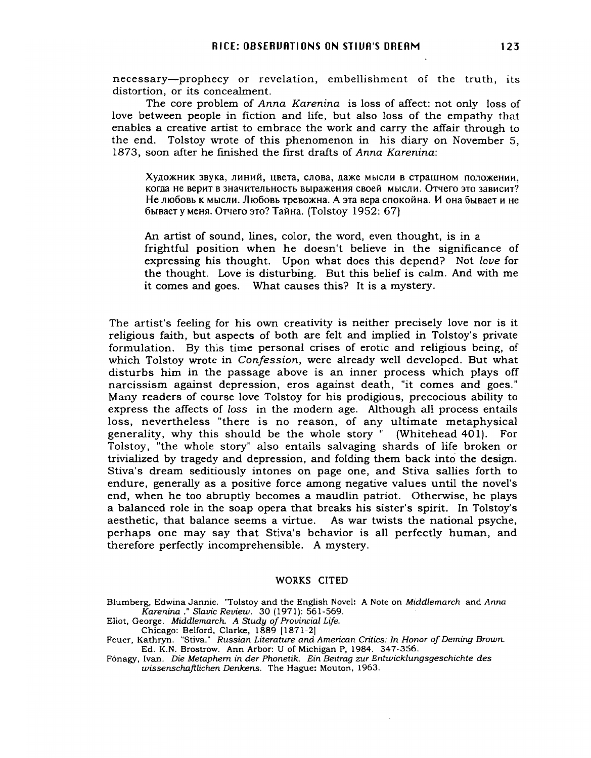necessary-prophecy or revelation, embellishment of the truth, its distortion, or its concealment.

The core problem of *Anna Karenina* is loss of affect: not only loss of love between people in fiction and life, but also loss of the empathy that enables a creative artist to embrace the work and carry the affair through to the end. Tolstoy wrote of this phenomenon in his diary on November 5, 1873, soon after he fmished the first drafts of *Anna Karenina:*

Художник звука, линий, цвета, слова, даже мысли в страшном положении, когда не верит в значительность выражения своей мысли. Отчего это зависит? Не любовь к мысли. Любовь тревожна. А эта вера спокойна. И она бывает и не бывает у меня. Отчего это? Тайна. (Tolstoy 1952: 67)

An artist of sound, lines, color, the word, even thought, is in a frightful position when he doesn't believe in the significance of expressing his thought. Upon what does this depend? Not *love* for the thought. Love is disturbing. But this belief is calm. And with me it comes and goes. What causes this? It is a mystery.

The artist's feeling for his own creativity is neither precisely love nor is it religious faith, but aspects of both are felt and implied in Tolstoy's private formulation. By this time personal crises of erotic and religious being, of which Tolstoy wrote in *Confession,* were already well developed. But what disturbs him in the passage above is an inner process which plays off narcissism against depression, eros against death, "it comes and goes." Many readers of course love Tolstoy for his prodigious, precocious ability to express the affects of *loss* in the modern age. Although all process entails loss, nevertheless "there is no reason, of any ultimate metaphysical generality, why this should be the whole story" (Whitehead 401). For Tolstoy, "the whole story" also entails salvaging shards of life broken or trivialized by tragedy and depression, and folding them back into the design. Stiva's dream seditiously intones on page one, and Stiva sallies forth to endure, generally as a positive force among negative values until the novel's end, when he too abruptly becomes a maudlin patriot. Otherwise, he plays a balanced role in the soap opera that breaks his sister's spirit. In Tolstoy's aesthetic, that balance seems a virtue. As war twists the national psyche, perhaps one may say that Stiva's behavior is all perfectly human, and therefore perfectly incomprehensible. A mystery.

#### WORKS CITED

Blumberg, Edwina Jannie. "Tolstoy and the English Novel: A Note on *Middlemarch* and *Anna Karenina* ." *Slavic Review.* 30 (1971): 561-569.

Eliot, George. Middlemarch. A Study of Provincial Life. Chicago: Belford, Clarke, 1889 [1871-2]

Feuer, Kathryn. "Stiva." *Russian Literature and American Critics: In Honor ofDeming Brown.* Ed. K.N. Brostrow. Ann Arbor: U of Michigan P, 1984. 347-356.

F6nagy, Ivan. Die *Metaphem in der Phonetik. Ein Beitrag zur Entwicklungsgeschichte des wissenschaftlichen Denkens.* The Hague: Mouton, 1963.